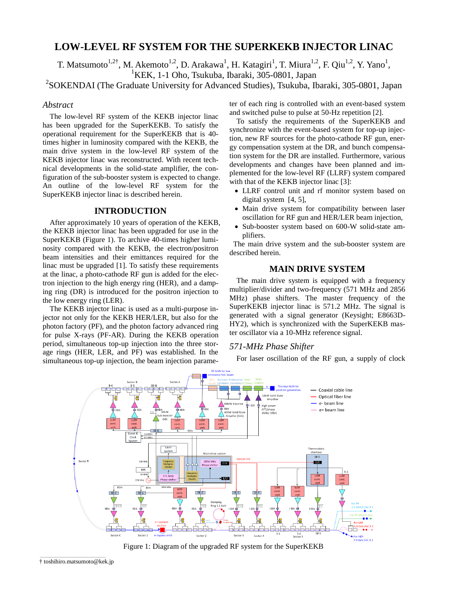# **LOW-LEVEL RF SYSTEM FOR THE SUPERKEKB INJECTOR LINAC**

T. Matsumoto<sup>1,2†</sup>, M. Akemoto<sup>1,2</sup>, D. Arakawa<sup>1</sup>, H. Katagiri<sup>1</sup>, T. Miura<sup>1,2</sup>, F. Qiu<sup>1,2</sup>, Y. Yano<sup>1</sup>,

<sup>1</sup>KEK, 1-1 Oho, Tsukuba, Ibaraki, 305-0801, Japan

<sup>2</sup>SOKENDAI (The Graduate University for Advanced Studies), Tsukuba, Ibaraki, 305-0801, Japan

# *Abstract*

The low-level RF system of the KEKB injector linac has been upgraded for the SuperKEKB. To satisfy the operational requirement for the SuperKEKB that is 40 times higher in luminosity compared with the KEKB, the main drive system in the low-level RF system of the KEKB injector linac was reconstructed. With recent technical developments in the solid-state amplifier, the configuration of the sub-booster system is expected to change. An outline of the low-level RF system for the SuperKEKB injector linac is described herein.

## **INTRODUCTION**

After approximately 10 years of operation of the KEKB, the KEKB injector linac has been upgraded for use in the SuperKEKB (Figure 1). To archive 40-times higher luminosity compared with the KEKB, the electron/positron beam intensities and their emittances required for the linac must be upgraded [1]. To satisfy these requirements at the linac, a photo-cathode RF gun is added for the electron injection to the high energy ring (HER), and a damping ring (DR) is introduced for the positron injection to the low energy ring (LER).

The KEKB injector linac is used as a multi-purpose injector not only for the KEKB HER/LER, but also for the photon factory (PF), and the photon factory advanced ring for pulse X-rays (PF-AR). During the KEKB operation period, simultaneous top-up injection into the three storage rings (HER, LER, and PF) was established. In the simultaneous top-up injection, the beam injection parameter of each ring is controlled with an event-based system and switched pulse to pulse at 50-Hz repetition [2].

To satisfy the requirements of the SuperKEKB and synchronize with the event-based system for top-up injection, new RF sources for the photo-cathode RF gun, energy compensation system at the DR, and bunch compensation system for the DR are installed. Furthermore, various developments and changes have been planned and implemented for the low-level RF (LLRF) system compared with that of the KEKB injector linac [3]:

- LLRF control unit and rf monitor system based on digital system [4, 5],
- Main drive system for compatibility between laser oscillation for RF gun and HER/LER beam injection,
- Sub-booster system based on 600-W solid-state amplifiers.

The main drive system and the sub-booster system are described herein.

### **MAIN DRIVE SYSTEM**

The main drive system is equipped with a frequency multiplier/divider and two-frequency (571 MHz and 2856 MHz) phase shifters. The master frequency of the SuperKEKB injector linac is 571.2 MHz. The signal is generated with a signal generator (Keysight; E8663D-HY2), which is synchronized with the SuperKEKB master oscillator via a 10-MHz reference signal.

# *571-MHz Phase Shifter*

For laser oscillation of the RF gun, a supply of clock



Figure 1: Diagram of the upgraded RF system for the SuperKEKB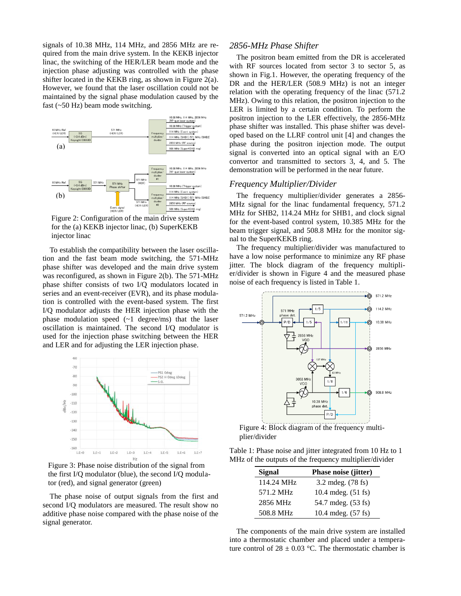signals of 10.38 MHz, 114 MHz, and 2856 MHz are required from the main drive system. In the KEKB injector linac, the switching of the HER/LER beam mode and the injection phase adjusting was controlled with the phase shifter located in the KEKB ring, as shown in Figure 2(a). However, we found that the laser oscillation could not be maintained by the signal phase modulation caused by the fast (~50 Hz) beam mode switching.



Figure 2: Configuration of the main drive system for the (a) KEKB injector linac, (b) SuperKEKB injector linac

To establish the compatibility between the laser oscillation and the fast beam mode switching, the 571-MHz phase shifter was developed and the main drive system was reconfigured, as shown in Figure 2(b). The 571-MHz phase shifter consists of two I/Q modulators located in series and an event-receiver (EVR), and its phase modulation is controlled with the event-based system. The first I/Q modulator adjusts the HER injection phase with the phase modulation speed  $(-1 \text{ degree/ms})$  that the laser oscillation is maintained. The second I/Q modulator is used for the injection phase switching between the HER and LER and for adjusting the LER injection phase.



Figure 3: Phase noise distribution of the signal from the first I/Q modulator (blue), the second I/Q modulator (red), and signal generator (green)

The phase noise of output signals from the first and second I/Q modulators are measured. The result show no additive phase noise compared with the phase noise of the signal generator.

## *2856-MHz Phase Shifter*

The positron beam emitted from the DR is accelerated with RF sources located from sector 3 to sector 5, as shown in Fig.1. However, the operating frequency of the DR and the HER/LER (508.9 MHz) is not an integer relation with the operating frequency of the linac (571.2 MHz). Owing to this relation, the positron injection to the LER is limited by a certain condition. To perform the positron injection to the LER effectively, the 2856-MHz phase shifter was installed. This phase shifter was developed based on the LLRF control unit [4] and changes the phase during the positron injection mode. The output signal is converted into an optical signal with an E/O convertor and transmitted to sectors 3, 4, and 5. The demonstration will be performed in the near future.

#### *Frequency Multiplier/Divider*

The frequency multiplier/divider generates a 2856- MHz signal for the linac fundamental frequency, 571.2 MHz for SHB2, 114.24 MHz for SHB1, and clock signal for the event-based control system, 10.385 MHz for the beam trigger signal, and 508.8 MHz for the monitor signal to the SuperKEKB ring.

The frequency multiplier/divider was manufactured to have a low noise performance to minimize any RF phase jitter. The block diagram of the frequency multiplier/divider is shown in Figure 4 and the measured phase noise of each frequency is listed in Table 1.



Figure 4: Block diagram of the frequency multiplier/divider

Table 1: Phase noise and jitter integrated from 10 Hz to 1 MHz of the outputs of the frequency multiplier/divider

| <b>Signal</b> | Phase noise (jitter) |
|---------------|----------------------|
| 114.24 MHz    | 3.2 mdeg. (78 fs)    |
| 571.2 MHz     | 10.4 mdeg. (51 fs)   |
| 2856 MHz      | 54.7 mdeg. (53 fs)   |
| 508.8 MHz     | 10.4 mdeg. (57 fs)   |

The components of the main drive system are installed into a thermostatic chamber and placed under a temperature control of  $28 \pm 0.03$  °C. The thermostatic chamber is